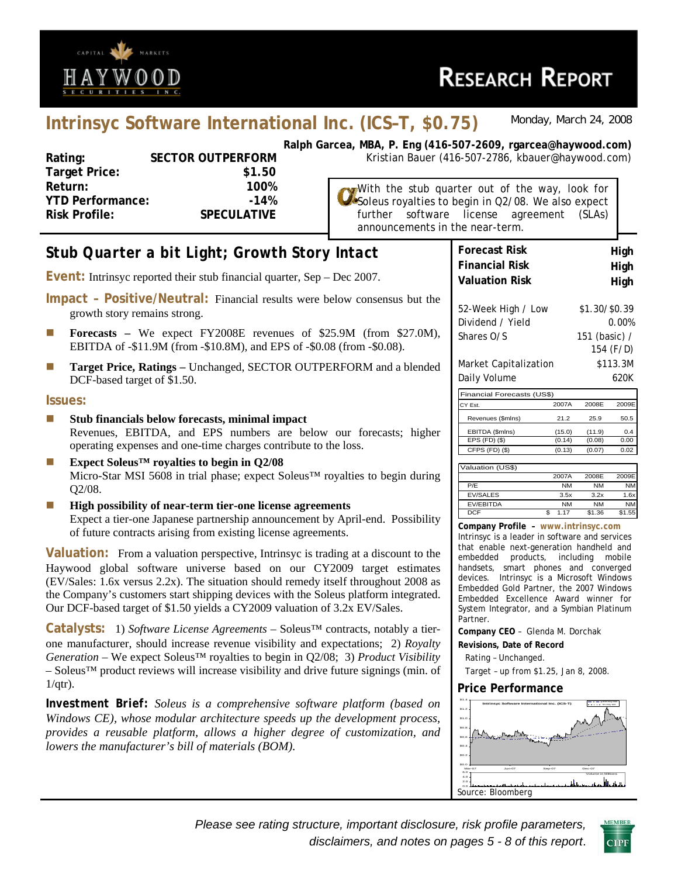

# **Intrinsyc Software International Inc. (ICS–T, \$0.75)** *Monday, March 24, 2008*

| Rating:                 | <b>SECTOR OUTPERFORM</b> |
|-------------------------|--------------------------|
| <b>Target Price:</b>    | \$1.50                   |
| Return:                 | 100%                     |
| <b>YTD Performance:</b> | $-14%$                   |
| <b>Risk Profile:</b>    | <b>SPECULATIVE</b>       |
|                         |                          |

**Ralph Garcea, MBA, P. Eng (416-507-2609, rgarcea@haywood.com) M** Kristian Bauer (416-507-2786, kbauer@haywood.com)

> With the stub quarter out of the way, look for Soleus royalties to begin in Q2/08. We also expect further software license agreement (SLAs) announcements in the near-term.

#### **Forecast Risk High Financial Risk high Valuation Risk https://www.margibrary.org/Equation Risk** 52-Week High / Low \$1.30/\$0.39 Dividend / Yield 0.00% Shares O/S 151 (basic) / 154 (F/D) Market Capitalization \$113.3M Daily Volume 620K Financial Forecasts (US\$) CY Est. 2007A 2008E 2009E Revenues (\$mlns) 21.2 25.9 50.5 EBITDA (\$mlns) (15.0) (11.9) 0.4 EPS (FD) (\$) (0.14) (0.08) 0.00 CFPS (FD) (\$) (0.13) (0.07) 0.02 Valuation (US\$) 2007A 2008E 2009E<br>NM NM NM P/E NM NM NM EV/SALES 3.5x 3.2x 1.6x EV/EBITDA NM NM NM DCF **\$1.17 \$1.36 \$1.55 Company Profile – www.intrinsyc.com** Intrinsyc is a leader in software and services that enable next-generation handheld and embedded products, including mobile handsets, smart phones and converged devices. Intrinsyc is a Microsoft Windows Embedded Gold Partner, the 2007 Windows Embedded Excellence Award winner for System Integrator, and a Symbian Platinum Partner. **Company CEO** – Glenda M. Dorchak **Revisions, Date of Record**  Rating – Unchanged. Target – up from \$1.25, Jan 8, 2008. *Stub Quarter a bit Light; Growth Story Intact*  **Event:** Intrinsyc reported their stub financial quarter, Sep – Dec 2007. **Impact – Positive/Neutral:** Financial results were below consensus but the growth story remains strong. **Forecasts** – We expect FY2008E revenues of \$25.9M (from \$27.0M), EBITDA of -\$11.9M (from -\$10.8M), and EPS of -\$0.08 (from -\$0.08). **Target Price, Ratings** – Unchanged, SECTOR OUTPERFORM and a blended DCF-based target of \$1.50. **Issues: Stub financials below forecasts, minimal impact**  Revenues, EBITDA, and EPS numbers are below our forecasts; higher operating expenses and one-time charges contribute to the loss. **Expect Soleus™ royalties to begin in Q2/08**  Micro-Star MSI 5608 in trial phase; expect Soleus™ royalties to begin during Q2/08. **High possibility of near-term tier-one license agreements** Expect a tier-one Japanese partnership announcement by April-end. Possibility of future contracts arising from existing license agreements. **Valuation:** From a valuation perspective, Intrinsyc is trading at a discount to the Haywood global software universe based on our CY2009 target estimates (EV/Sales: 1.6x versus 2.2x). The situation should remedy itself throughout 2008 as the Company's customers start shipping devices with the Soleus platform integrated. Our DCF-based target of \$1.50 yields a CY2009 valuation of 3.2x EV/Sales. **Catalysts:** 1) *Software License Agreements* – Soleus™ contracts, notably a tierone manufacturer, should increase revenue visibility and expectations; 2) *Royalty Generation* – We expect Soleus™ royalties to begin in Q2/08; 3) *Product Visibility* – Soleus™ product reviews will increase visibility and drive future signings (min. of  $1/qtr$ ). *Investment Brief: Soleus is a comprehensive software platform (based on Windows CE), whose modular architecture speeds up the development process, provides a reusable platform, allows a higher degree of customization, and lowers the manufacturer's bill of materials (BOM).* **Price Performance Intrinsyc Software International Inc. (ICS-T)** \$0.2 \$0.4 \$0.6 \$0.8 \$1.0 \$1.2 \$1.4 200-Day MA 50-Day MA

*Please see rating structure, important disclosure, risk profile parameters, disclaimers, and notes on pages 5 - 8 of this report*.

\$0.0

2.0 4.0 6.0

0.0 Source: Bloomberg

Mar-07 Jun-07 Sep-07 Dec-07



Volume in Millions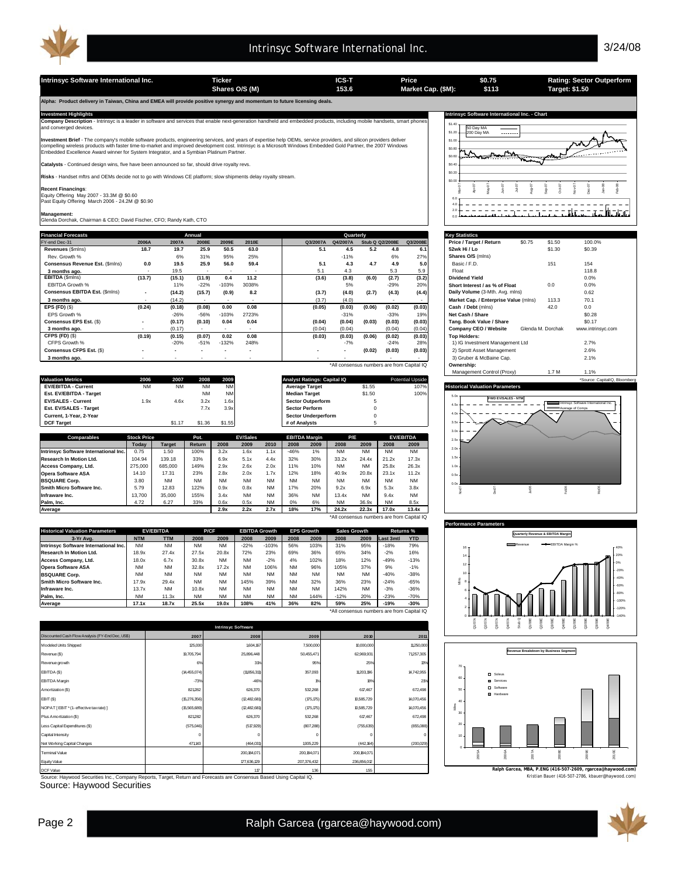

**Shares O/S (M) Market Cap. (\$M): 153.6 Target: \$1.50**

**Intrinsyc Software International Inc. Ticker ICS-T Price Rating: Sector Outperform**

**Alpha: Product delivery in Taiwan, China and EMEA will provide positive synergy and momentum to future licensing deals.** 

| <b>Financial Forecasts</b>      |                          |        | Annual |         |        |          | Quarterly                                  |        |                 |          | <b>Key Statistics</b>                                           |  |
|---------------------------------|--------------------------|--------|--------|---------|--------|----------|--------------------------------------------|--------|-----------------|----------|-----------------------------------------------------------------|--|
| FY-end Dec-31                   | 2006A                    | 2007A  | 2008E  | 2009E   | 2010E  | Q3/2007A | Q4/2007A                                   |        | Stub Q Q2/2008E | Q3/2008E | Price / Target / Return<br>\$0.75<br>\$1.50<br>100.0%           |  |
| Revenues (Smins)                | 18.7                     | 19.7   | 25.9   | 50.5    | 63.0   | 5.1      | 4.5                                        | 5.2    | 4.8             | 6.1      | \$0.39<br>52wk Hi / Lo<br>\$1.30                                |  |
| Rev. Growth %                   |                          | 6%     | 31%    | 95%     | 25%    |          | $-11%$                                     |        | 6%              | 27%      | Shares O/S (mins)                                               |  |
| Consensus Revenue Est. (\$mins) | 0.0                      | 19.5   | 25.9   | 56.0    | 59.4   | 5.1      | 4.3                                        | 4.7    | 4.9             | 5.0      | Basic / F.D.<br>151<br>154                                      |  |
| 3 months ago.                   | $\overline{\phantom{a}}$ | 19.5   |        |         |        | 5.1      | 4.3                                        |        | 5.3             | 5.9      | 118.8<br>Float                                                  |  |
| EBITDA (\$mins)                 | (13.7)                   | (15.1) | (11.9) | 0.4     | 11.2   | (3.6)    | (3.8)                                      | (6.0)  | (2.7)           | (3.2)    | <b>Dividend Yield</b><br>0.0%                                   |  |
| EBITDA Growth %                 |                          | 11%    | $-22%$ | $-103%$ | 3038%  |          | 5%                                         |        | $-29%$          | 20%      | 0.0%<br>Short Interest / as % of Float<br>0.0                   |  |
| Consensus EBITDA Est. (\$mins)  | $\overline{\phantom{a}}$ | (14.2) | (15.7) | (0.9)   | 8.2    | (3.7)    | (4.0)                                      | (2.7)  | (4.3)           | (4.4)    | Daily Volume (3-Mth. Avg. mlns)<br>0.62                         |  |
| 3 months ago.                   |                          | (14.2) |        |         |        | (3.7)    | (4.0)                                      |        |                 | $\sim$   | 70.1<br>Market Cap. / Enterprise Value (mlns)<br>113.3          |  |
| EPS $(FD)$ $(\$)$               | (0.24)                   | (0.18) | (0.08) | 0.00    | 0.08   | (0.05)   | (0.03)                                     | (0.06) | (0.02)          | (0.03)   | 42.0<br>Cash / Debt (mins)<br>0.0                               |  |
| EPS Growth %                    |                          | $-26%$ | $-56%$ | $-103%$ | 2723%  |          | $-31%$                                     |        | $-33%$          | 19%      | \$0.28<br>Net Cash / Share                                      |  |
| Consensus EPS Est. (\$)         | $\overline{\phantom{a}}$ | (0.17) | (0.10) | 0.04    | 0.04   | (0.04)   | (0.04)                                     | (0.03) | (0.03)          | (0.03)   | \$0.17<br>Tang. Book Value / Share                              |  |
| 3 months ago.                   | $\sim$                   | (0.17) |        |         | $\sim$ | (0.04)   | (0.04)                                     |        | (0.04)          | (0.04)   | www.intrinsyc.com<br>Glenda M. Dorchak<br>Company CEO / Website |  |
| CFPS (FD) (\$)                  | (0.19)                   | (0.15) | (0.07) | 0.02    | 0.08   | (0.03)   | (0.03)                                     | (0.06) | (0.02)          | (0.03)   | <b>Top Holders:</b>                                             |  |
| CFPS Growth %                   |                          | $-20%$ | $-51%$ | $-132%$ | 248%   |          | $-7%$                                      |        | $-24%$          | 28%      | 1) IG Investment Management Ltd<br>2.7%                         |  |
| Consensus CFPS Est. (\$)        |                          |        |        |         |        |          | $\overline{\phantom{a}}$                   | (0.02) | (0.03)          | (0.03)   | 2.6%<br>2) Sprott Asset Management                              |  |
| 3 months ago.                   |                          |        |        |         |        |          |                                            |        |                 |          | 3) Gruber & McBaine Cap.<br>2.1%                                |  |
|                                 |                          |        |        |         |        |          | *All consensus numbers are from Capital IQ |        |                 |          | Ownership:                                                      |  |

| Comparables                | <b>Stock Price</b> |           | Pot.      | <b>EV/Sales</b> | <b>EBITDA Margin</b>               | P/E    | <b>EV/EBITDA</b>        | $25 - 1$                                                           |
|----------------------------|--------------------|-----------|-----------|-----------------|------------------------------------|--------|-------------------------|--------------------------------------------------------------------|
|                            |                    |           |           |                 |                                    |        |                         |                                                                    |
| <b>DCF Target</b>          |                    |           | \$1.36    | \$1.55          | # of Analysts                      |        |                         | -                                                                  |
| Current, 1-Year, 2-Year    |                    |           |           |                 | <b>Sector Underperform</b>         |        |                         | $-$<br>$\sim$                                                      |
| Est. EV/SALES - Target     |                    |           | 7.7x      | 3.9x            | <b>Sector Perform</b>              |        |                         | <b>EMILE Average of Comps</b>                                      |
| <b>EV/SALES - Current</b>  | 1.9x               | 4.6x      | 3.2x      | 1.6x            | <b>Sector Outperform</b>           |        |                         | <b>FWD EV/SALES - NTM</b><br>Intrinsvc Software International Inc. |
| Est. EV/EBITDA - Target    |                    |           | <b>NM</b> | <b>NM</b>       | <b>Median Target</b>               | \$1.50 | 100%                    |                                                                    |
| <b>EV/EBITDA - Current</b> | <b>NM</b>          | <b>NM</b> | <b>NM</b> | <b>NM</b>       | <b>Average Target</b>              | \$1.55 | 107%                    | <b>Historical Valuation Parameters</b>                             |
| <b>Valuation Metrics</b>   | 2006               | 2007      | 2008      | 2009            | <b>Analyst Ratings: Capital IQ</b> |        | <b>Potential Upside</b> | *Source: CapitalIQ. Bloomberg                                      |
|                            |                    |           |           |                 |                                    |        |                         | Mahadement Control (Proxy)<br>1.7 M<br>$-1\%$                      |

|                                            | Todav   | <b>Target</b> | Return    | 2008      | 2009      | 2010      | 2008      | 2009      | 2008      | 2009      | 2008      | 2009      |
|--------------------------------------------|---------|---------------|-----------|-----------|-----------|-----------|-----------|-----------|-----------|-----------|-----------|-----------|
| Intrinsvc Software International Inc.      | 0.75    | .50           | 100%      | 3.2x      | .6x       | 1.1x      | $-46%$    | 1%        | <b>NM</b> | <b>NM</b> | <b>NM</b> | <b>NM</b> |
| Research In Motion Ltd.                    | 104.94  | 139.18        | 33%       | 6.9x      | 5.1x      | 4.4x      | 32%       | 30%       | 33.2x     | 24.4x     | 21.2x     | 17.3x     |
| Access Company, Ltd.                       | 275,000 | 685,000       | 149%      | 2.9x      | 2.6x      | 2.0x      | 11%       | 10%       | <b>NM</b> | <b>NM</b> | 25.8x     | 26.3x     |
| <b>Opera Software ASA</b>                  | 14.10   | 17.31         | 23%       | 2.8x      | 2.0x      | 1.7x      | 12%       | 18%       | 40.9x     | 20.8x     | 23.1x     | 11.2x     |
| <b>BSQUARE Corp.</b>                       | 3.80    | <b>NM</b>     | <b>NM</b> | <b>NM</b> | <b>NM</b> | <b>NM</b> | <b>NM</b> | <b>NM</b> | <b>NM</b> | <b>NM</b> | <b>NM</b> | <b>NM</b> |
| Smith Micro Software Inc.                  | 5.79    | 12.83         | 122%      | 0.9x      | 0.8x      | <b>NM</b> | 17%       | 20%       | 9.2x      | 6.9x      | 5.3x      | 3.8x      |
| Infraware Inc.                             | 13.700  | 35,000        | 155%      | 3.4x      | <b>NM</b> | <b>NM</b> | 36%       | <b>NM</b> | 13.4x     | <b>NM</b> | 9.4x      | <b>NM</b> |
| Palm. Inc.                                 | 4.72    | 6.27          | 33%       | 0.6x      | 0.5x      | <b>NM</b> | 0%        | 6%        | <b>NM</b> | 36.9x     | <b>NM</b> | 8.5x      |
| Average                                    |         |               |           | 2.9x      | 2.2x      | 2.7x      | 18%       | 17%       | 24.2x     | 22.3x     | 17.0x     | 13.4x     |
| *All consensus numbers are from Capital IQ |         |               |           |           |           |           |           |           |           |           |           |           |

| <b>Historical Valuation Parameters</b> | <b>EV/EBITDA</b> |            |           | P/CF      |           | <b>EBITDA Growth</b> |           | <b>EPS Growth</b> | <b>Sales Growth</b> |           | Returns % |            |
|----------------------------------------|------------------|------------|-----------|-----------|-----------|----------------------|-----------|-------------------|---------------------|-----------|-----------|------------|
| 3-Yr Ava.                              | <b>NTM</b>       | <b>TTM</b> | 2008      | 2009      | 2008      | 2009                 | 2008      | 2009              | 2008                | 2009      | Last 3mtl | <b>YTD</b> |
| Intrinsyc Software International Inc.  | <b>NM</b>        | <b>NM</b>  | <b>NM</b> | <b>NM</b> | $-22%$    | $-103%$              | 56%       | 103%              | 31%                 | 95%       | $-18%$    | 79%        |
| Research In Motion Ltd.                | 18.9x            | 27.4x      | 27.5x     | 20.8x     | 72%       | 23%                  | 69%       | 36%               | 65%                 | 34%       | $-2%$     | 16%        |
| Access Company, Ltd.                   | 18.0x            | 6.7x       | 30.8x     | <b>NM</b> | <b>NM</b> | $-2%$                | 4%        | 102%              | 18%                 | 12%       | $-49%$    | $-13%$     |
| <b>Opera Software ASA</b>              | <b>NM</b>        | <b>NM</b>  | 32.8x     | 17.2x     | <b>NM</b> | 106%                 | <b>NM</b> | 96%               | 105%                | 37%       | 9%        | $-1%$      |
| <b>BSQUARE Corp.</b>                   | <b>NM</b>        | <b>NM</b>  | <b>NM</b> | <b>NM</b> | <b>NM</b> | <b>NM</b>            | <b>NM</b> | <b>NM</b>         | <b>NM</b>           | <b>NM</b> | $-40%$    | $-38%$     |
| Smith Micro Software Inc.              | 17.9x            | 29.4x      | <b>NM</b> | <b>NM</b> | 145%      | 39%                  | <b>NM</b> | 32%               | 36%                 | 23%       | $-24%$    | $-65%$     |
| Infraware Inc.                         | 13.7x            | <b>NM</b>  | 10.8x     | <b>NM</b> | <b>NM</b> | <b>NM</b>            | <b>NM</b> | <b>NM</b>         | 142%                | <b>NM</b> | $-3%$     | $-36%$     |
| <b>Palm. Inc.</b>                      | <b>NM</b>        | 11.3x      | <b>NM</b> | <b>NM</b> | <b>NM</b> | <b>NM</b>            | <b>NM</b> | 144%              | $-12%$              | 20%       | $-23%$    | $-70%$     |
| Average                                | 17.1x            | 18.7x      | 25.5x     | 19.0x     | 108%      | 41%                  | 36%       | 82%               | 59%                 | 25%       | $-19%$    | $-30%$     |

\*All consensus numbers are from Capital IQ

|                                                  |              | <b>Intrinsyc Software</b> |               |               |                |
|--------------------------------------------------|--------------|---------------------------|---------------|---------------|----------------|
| Discounted Cash Flow Analysis (FY-End Dec, US\$) | 2007         | 2008                      | 2009          | 2010          | 2011           |
| Modeled Units Shipped                            | 125,000      | 1604.167                  | 7,500,000     | 10,000,000    | 11,250,000     |
| Revenue (\$)                                     | 19,705,794   | 25,896,448                | 50,455,471    | 62,969,931    | 71257,305      |
| Revenue growth                                   | 6%           | 3%                        | 95%           | 25%           | 13%            |
| EBITDA (\$)                                      | (14,455,074) | (11856,311)               | 357,093       | 11,203,196    | 14,742,955     |
| <b>EBITDA</b> Margin                             | $-73%$       | $-46%$                    | $P/\alpha$    | 18%           | 2 <sub>0</sub> |
| Amortization (\$)                                | 821282       | 626,370                   | 532,268       | 617,467       | 672,498        |
| EBIT (\$)                                        | (15,276,356) | (12,482,681)              | (75, 75)      | 10,585,729    | 14,070,456     |
| NOPAT [EBIT * (1- effective tax rate) ]          | (15,565,689) | (12,482,681)              | (75, 75)      | 10,585,729    | 14,070,456     |
| Plus Amortization (\$)                           | 821282       | 626,370                   | 532,268       | 617,467       | 672,498        |
| Less Capital Expenditures (\$)                   | (575,046)    | (517, 929)                | (807, 288)    | (755, 639)    | (855,088)      |
| Capital Intensity                                | $^{\circ}$   | $^{\circ}$                | C             | $^{\circ}$    |                |
| Net Working Capital Changes                      | 471143       | (464,031)                 | 1935,229      | (442, 164)    | (200, 029)     |
| Terminal Value                                   |              | 200, 184, 071             | 200, 184, 071 | 200, 184, 071 |                |
| Equity Value                                     |              | 177,636,129               | 207,376,432   | 236,856,012   |                |
|                                                  |              |                           |               |               |                |

Source: Haywood Securities Inc., Company Reports, Target, Return and Forecasts are Consensus Based Using Capital IQ. Kristian Bauer (416-507-2786, kbauer@haywood.com) DCF Value 1 1.17 1 .36 .55

Source: Haywood Securities

| Alpha: Product delivery in Talwan, China and EwicA will provide positive synergy and momentum to future licensing deals.                                                                                                                                                                                                                                                                                                          |                                                  |  |
|-----------------------------------------------------------------------------------------------------------------------------------------------------------------------------------------------------------------------------------------------------------------------------------------------------------------------------------------------------------------------------------------------------------------------------------|--------------------------------------------------|--|
| <b>Investment Highlights</b>                                                                                                                                                                                                                                                                                                                                                                                                      | Intrinsyc Software International Inc. - Chart    |  |
| Company Description - Intrinsyc is a leader in software and services that enable next-generation handheld and embedded products, including mobile handsets, smart phones<br>and converged devices.                                                                                                                                                                                                                                | $$1.40 -$<br>50 Day MA<br>$$1.20 +$              |  |
| Investment Brief - The company's mobile software products, engineering services, and years of expertise help OEMs, service providers, and silicon providers deliver<br>compelling wireless products with faster time-to-market and improved development cost. Intrinsyc is a Microsoft Windows Embedded Gold Partner, the 2007 Windows<br>Embedded Excellence Award winner for System Integrator, and a Symbian Platinum Partner. | $\rightarrow$ 200 Dav MA<br><br>\$1.00<br>\$0.80 |  |
| Catalysts - Continued design wins, five have been announced so far, should drive royalty revs.                                                                                                                                                                                                                                                                                                                                    | \$0.40                                           |  |
| Risks - Handset mftrs and OEMs decide not to go with Windows CE platform; slow shipments delay royalty stream.                                                                                                                                                                                                                                                                                                                    | \$0.20<br>\$0.0                                  |  |
| <b>Recent Financings:</b><br>Equity Offering May 2007 - 33.3M @ \$0.60<br>Past Equity Offering March 2006 - 24.2M @ \$0.90<br>Management:<br>Glenda Dorchak, Chairman & CEO; David Fischer, CFO; Randy Kath, CTO                                                                                                                                                                                                                  |                                                  |  |
|                                                                                                                                                                                                                                                                                                                                                                                                                                   |                                                  |  |

**\$0.75 \$113**

| <b>Key Statistics</b>                 |        |                   |                   |
|---------------------------------------|--------|-------------------|-------------------|
| Price / Target / Return               | \$0.75 | \$1.50            | 100.0%            |
| 52wk Hi / Lo                          |        | \$1.30            | \$0.39            |
| Shares O/S (mlns)                     |        |                   |                   |
| Basic / F.D.                          |        | 151               | 154               |
| Float                                 |        |                   | 118.8             |
| Dividend Yield                        |        |                   | 0.0%              |
| Short Interest / as % of Float        |        | 0.0               | 0.0%              |
| Daily Volume (3-Mth. Avg. mlns)       |        |                   | 0.62              |
| Market Cap. / Enterprise Value (mlns) |        | 113.3             | 70.1              |
| Cash / Debt (mlns)                    |        | 42.0              | 0.0               |
| Net Cash / Share                      |        |                   | \$0.28            |
| Tang. Book Value / Share              |        |                   | \$0.17            |
| Company CEO / Website                 |        | Glenda M. Dorchak | www.intrinsyc.com |
| <b>Top Holders:</b>                   |        |                   |                   |
| 1) IG Investment Management Ltd       |        |                   | 2.7%              |
| 2) Sprott Asset Management            |        |                   | 2.6%              |
| 3) Gruber & McBaine Cap.              |        |                   | 2.1%              |
| Ownership:                            |        |                   |                   |
| Management Control (Proxy)            |        | 1.7 M             | 1.1%              |







**Ralph Garcea, MBA, P.ENG (416-507-2609, rgarcea@haywood.com)**

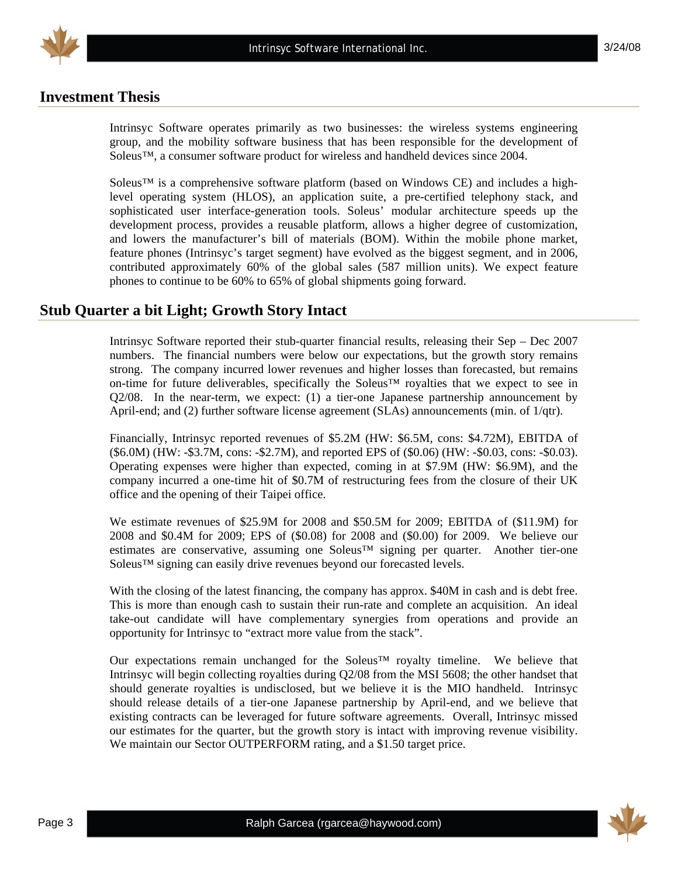

#### **Investment Thesis**

Intrinsyc Software operates primarily as two businesses: the wireless systems engineering group, and the mobility software business that has been responsible for the development of Soleus™, a consumer software product for wireless and handheld devices since 2004.

Soleus™ is a comprehensive software platform (based on Windows CE) and includes a highlevel operating system (HLOS), an application suite, a pre-certified telephony stack, and sophisticated user interface-generation tools. Soleus' modular architecture speeds up the development process, provides a reusable platform, allows a higher degree of customization, and lowers the manufacturer's bill of materials (BOM). Within the mobile phone market, feature phones (Intrinsyc's target segment) have evolved as the biggest segment, and in 2006, contributed approximately 60% of the global sales (587 million units). We expect feature phones to continue to be 60% to 65% of global shipments going forward.

#### **Stub Quarter a bit Light; Growth Story Intact**

Intrinsyc Software reported their stub-quarter financial results, releasing their Sep – Dec 2007 numbers. The financial numbers were below our expectations, but the growth story remains strong. The company incurred lower revenues and higher losses than forecasted, but remains on-time for future deliverables, specifically the Soleus™ royalties that we expect to see in Q2/08. In the near-term, we expect: (1) a tier-one Japanese partnership announcement by April-end; and (2) further software license agreement (SLAs) announcements (min. of 1/qtr).

Financially, Intrinsyc reported revenues of \$5.2M (HW: \$6.5M, cons: \$4.72M), EBITDA of (\$6.0M) (HW: -\$3.7M, cons: -\$2.7M), and reported EPS of (\$0.06) (HW: -\$0.03, cons: -\$0.03). Operating expenses were higher than expected, coming in at \$7.9M (HW: \$6.9M), and the company incurred a one-time hit of \$0.7M of restructuring fees from the closure of their UK office and the opening of their Taipei office.

We estimate revenues of \$25.9M for 2008 and \$50.5M for 2009; EBITDA of (\$11.9M) for 2008 and \$0.4M for 2009; EPS of (\$0.08) for 2008 and (\$0.00) for 2009. We believe our estimates are conservative, assuming one Soleus™ signing per quarter. Another tier-one Soleus™ signing can easily drive revenues beyond our forecasted levels.

With the closing of the latest financing, the company has approx. \$40M in cash and is debt free. This is more than enough cash to sustain their run-rate and complete an acquisition. An ideal take-out candidate will have complementary synergies from operations and provide an opportunity for Intrinsyc to "extract more value from the stack".

Our expectations remain unchanged for the Soleus™ royalty timeline. We believe that Intrinsyc will begin collecting royalties during Q2/08 from the MSI 5608; the other handset that should generate royalties is undisclosed, but we believe it is the MIO handheld. Intrinsyc should release details of a tier-one Japanese partnership by April-end, and we believe that existing contracts can be leveraged for future software agreements. Overall, Intrinsyc missed our estimates for the quarter, but the growth story is intact with improving revenue visibility. We maintain our Sector OUTPERFORM rating, and a \$1.50 target price.

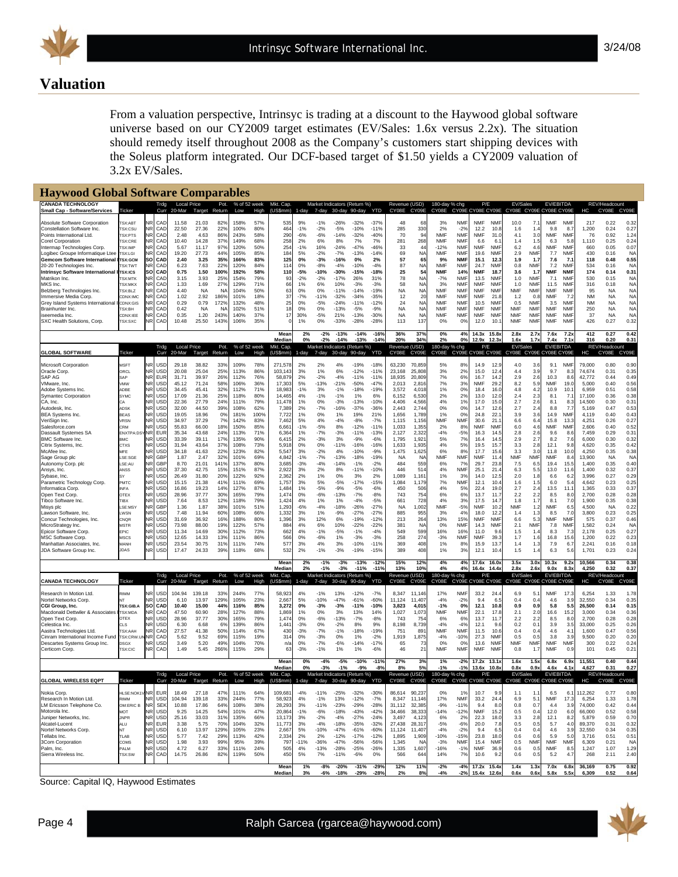

## **Valuation**

From a valuation perspective, Intrinsyc is trading at a discount to the Haywood global software universe based on our CY2009 target estimates (EV/Sales: 1.6x versus 2.2x). The situation should remedy itself throughout 2008 as the Company's customers start shipping devices with the Soleus platform integrated. Our DCF-based target of \$1.50 yields a CY2009 valuation of 3.2x EV/Sales.

| <b>Haywood Global Software Comparables</b>                                                                                                                                                                                                                                                                                                                                                                                                                                                                                                                                                                                                                                                        |                                                                                                                                                                                                                                                                                                                   |                                                                                                                                                                                                                |                                                                                                                                                                                                                       |                                                                                                                                                                                                                                                                                |                                                                                                                                                                                                                                                                                  |                                                                                                                                                                                                                      |                                                                                                                                                                                                                                                      |                                                                                                                                                                                                                        |                                                                                                                                                                                                                                                                                |                                                                                                                                                                                                       |                                                                                                                                                                                                                                        |                                                                                                                                                                                                                                                      |                                                                                                                                                                                                                                                                                                 |                                                                                                                                                                                                                                                                                              |                                                                                                                                                                                                                                                                        |                                                                                                                                                                                                                                                      |                                                                                                                                                                                                                        |                                                                                                                                                                                                                                           |                                                                                                                                                                                                                                                               |                                                                                                                                                                                                                                                                |                                                                                                                                                                                                                                     |                                                                                                                                                                                                                                          |                                                                                                                                                                                                                                                                    |                                                                                                                                                                                                                                          |                                                                                                                                                                                                                                                                                         |                                                                                                                                                                                                                                                                |                                                                                                                                                                                                                                                         |
|---------------------------------------------------------------------------------------------------------------------------------------------------------------------------------------------------------------------------------------------------------------------------------------------------------------------------------------------------------------------------------------------------------------------------------------------------------------------------------------------------------------------------------------------------------------------------------------------------------------------------------------------------------------------------------------------------|-------------------------------------------------------------------------------------------------------------------------------------------------------------------------------------------------------------------------------------------------------------------------------------------------------------------|----------------------------------------------------------------------------------------------------------------------------------------------------------------------------------------------------------------|-----------------------------------------------------------------------------------------------------------------------------------------------------------------------------------------------------------------------|--------------------------------------------------------------------------------------------------------------------------------------------------------------------------------------------------------------------------------------------------------------------------------|----------------------------------------------------------------------------------------------------------------------------------------------------------------------------------------------------------------------------------------------------------------------------------|----------------------------------------------------------------------------------------------------------------------------------------------------------------------------------------------------------------------|------------------------------------------------------------------------------------------------------------------------------------------------------------------------------------------------------------------------------------------------------|------------------------------------------------------------------------------------------------------------------------------------------------------------------------------------------------------------------------|--------------------------------------------------------------------------------------------------------------------------------------------------------------------------------------------------------------------------------------------------------------------------------|-------------------------------------------------------------------------------------------------------------------------------------------------------------------------------------------------------|----------------------------------------------------------------------------------------------------------------------------------------------------------------------------------------------------------------------------------------|------------------------------------------------------------------------------------------------------------------------------------------------------------------------------------------------------------------------------------------------------|-------------------------------------------------------------------------------------------------------------------------------------------------------------------------------------------------------------------------------------------------------------------------------------------------|----------------------------------------------------------------------------------------------------------------------------------------------------------------------------------------------------------------------------------------------------------------------------------------------|------------------------------------------------------------------------------------------------------------------------------------------------------------------------------------------------------------------------------------------------------------------------|------------------------------------------------------------------------------------------------------------------------------------------------------------------------------------------------------------------------------------------------------|------------------------------------------------------------------------------------------------------------------------------------------------------------------------------------------------------------------------|-------------------------------------------------------------------------------------------------------------------------------------------------------------------------------------------------------------------------------------------|---------------------------------------------------------------------------------------------------------------------------------------------------------------------------------------------------------------------------------------------------------------|----------------------------------------------------------------------------------------------------------------------------------------------------------------------------------------------------------------------------------------------------------------|-------------------------------------------------------------------------------------------------------------------------------------------------------------------------------------------------------------------------------------|------------------------------------------------------------------------------------------------------------------------------------------------------------------------------------------------------------------------------------------|--------------------------------------------------------------------------------------------------------------------------------------------------------------------------------------------------------------------------------------------------------------------|------------------------------------------------------------------------------------------------------------------------------------------------------------------------------------------------------------------------------------------|-----------------------------------------------------------------------------------------------------------------------------------------------------------------------------------------------------------------------------------------------------------------------------------------|----------------------------------------------------------------------------------------------------------------------------------------------------------------------------------------------------------------------------------------------------------------|---------------------------------------------------------------------------------------------------------------------------------------------------------------------------------------------------------------------------------------------------------|
| <b>CANADA TECHNOLOGY</b><br><b>Small Cap - Software/Services</b>                                                                                                                                                                                                                                                                                                                                                                                                                                                                                                                                                                                                                                  | Ticker                                                                                                                                                                                                                                                                                                            |                                                                                                                                                                                                                | Trdg<br>Curr                                                                                                                                                                                                          | <b>Local Price</b><br>20-Mar                                                                                                                                                                                                                                                   | Target                                                                                                                                                                                                                                                                           | Pot.<br>Return                                                                                                                                                                                                       | % of 52 week<br>Low                                                                                                                                                                                                                                  | High                                                                                                                                                                                                                   | Mkt. Cap.<br>(US\$mm)                                                                                                                                                                                                                                                          | 1-day                                                                                                                                                                                                 |                                                                                                                                                                                                                                        | Market Indicators (Return %)<br>7-day 30-day 90-day                                                                                                                                                                                                  |                                                                                                                                                                                                                                                                                                 | YTD                                                                                                                                                                                                                                                                                          | Revenue (USD)<br>CY08E                                                                                                                                                                                                                                                 | CY09E                                                                                                                                                                                                                                                | 180-day % chg<br>CY08E                                                                                                                                                                                                 | CY09E CY08E CY09E                                                                                                                                                                                                                         | P/E                                                                                                                                                                                                                                                           |                                                                                                                                                                                                                                                                | <b>EV/Sales</b><br>CY08E CY09E CY08E CY09E                                                                                                                                                                                          |                                                                                                                                                                                                                                          | <b>EV/EBITDA</b>                                                                                                                                                                                                                                                   |                                                                                                                                                                                                                                          | HC                                                                                                                                                                                                                                                                                      | REV/Headcount<br>CY08E                                                                                                                                                                                                                                         | CY09E                                                                                                                                                                                                                                                   |
| Absolute Software Corporation<br>Constellation Software Inc.<br>Points International Ltd<br><b>Corel Corporation</b><br>Intermap Technologies Corp<br>Logibec Groupe Informatique Ltee<br><b>Gemcom Software International</b><br>20-20 Technologies Inc.<br>Intrinsvc Software International<br>Matrikon Inc.<br>MKS Inc.<br>Belzberg Technologies Inc.<br>Immersive Media Corp.<br>Grey Island Systems International<br><b>Brainhunter Inc</b><br>iseemedia Inc.<br>SXC Health Solutions, Corp.                                                                                                                                                                                                 | TSX:ABT<br>TSX:CSU<br>TSX:PTS<br>TSX:CRE<br>TSX:IMF<br><b>TSX:LGI</b><br><b>FSX:GCM</b><br>SX:TWT<br><b>TSX:ICS</b><br><b>FSX:MTK</b><br><b>FSX:MKX</b><br>TSX:BLZ<br>CDNX:IMC<br>CDNX:GIS<br><b>TSX:BH</b><br>CDNX:IEE<br>TSX:SXC                                                                                | JR<br>NR<br>ΙR<br>JR<br>so<br>NR<br><b>SO</b><br>ΙR<br>JR<br>JR<br>JR<br><b>NR</b><br>ΙR                                                                                                                       | CAL<br>CAD<br>CAI<br>CAL<br>CAD<br>CAI<br>CAD<br>CAL<br>CAD<br>CAI<br>CAL<br>CAD<br>CAI<br>CAD<br>CAL<br>CAD<br>CAD                                                                                                   | 11.58<br>22.50<br>2.48<br>10.40<br>5.67<br>19.20<br>2.40<br>6.23<br>0.75<br>3.15<br>1.33<br>4.40<br>1.02<br>0.29<br>0.42<br>0.35<br>10.48                                                                                                                                      | 21.03<br>27.36<br>4.63<br>14.28<br>11.17<br>27.73<br>3.25<br>7.63<br>1.50<br>3.93<br>1.69<br><b>NA</b><br>2.92<br>0.79<br><b>NA</b><br>1.20<br>25.50                                                                                                                             | 82%<br>22%<br>86%<br>37%<br>97%<br>44%<br>35%<br>22%<br>100%<br>25%<br>27%<br>N<br>186%<br>172%<br>N/<br>243%<br>143%                                                                                                | 158%<br>100%<br>243%<br>149%<br>120%<br>105%<br>166%<br>120%<br>192%<br>154%<br>129%<br>104%<br>101%<br>132%<br>102%<br>140%<br>106%                                                                                                                 | 57%<br>80%<br>58%<br>68%<br>50%<br>85%<br>83%<br>84%<br>58%<br>79%<br>71%<br>50%<br>18%<br>48%<br>51%<br>37%<br>35%                                                                                                    | 535<br>464<br>29<br>258<br>254<br>18 <sub>4</sub><br>125<br>114<br>110<br>93<br>66<br>63<br>37<br>25<br>18<br>17                                                                                                                                                               | 9%<br>$-1%$<br>$-6%$<br>2%<br>$-1%$<br>5%<br>0%<br>0%<br>$-5%$<br>$-2%$<br>1%<br>0%<br>$-7%$<br>0%<br>0%<br>30%<br>1%                                                                                 | -1%<br>$-2%$<br>$-6%$<br>6%<br>16%<br>$-2%$<br>$-3%$<br>$-8%$<br>$-10%$<br>$-2%$<br>6%<br>0%<br>$-11%$<br>$-5%$<br>0%<br>$-5%$<br>0%                                                                                                   | $-26%$<br>$-5%$<br>$-14%$<br>8%<br>$-24%$<br>$-7%$<br>-16%<br>$-4%$<br>$-30%$<br>$-17%$<br>10%<br>$-11%$<br>$-32%$<br>$-24%$<br>$-13%$<br>21%<br>$-33%$                                                                                              | $-32%$<br>$-10%$<br>$-32%$<br>7%<br>$-47%$<br>$-13%$<br>0%<br>$-10%$<br>$-15%$<br>26%<br>$-3%$<br>$-14%$<br>$-34%$<br>$-11%$<br>$-5%$<br>$-13%$<br>$-28%$                                                                                                                                       | $-37%$<br>$-11%$<br>$-40%$<br>7%<br>$-46%$<br>$-14%$<br>2%<br>$-4%$<br>$-18%$<br>31%<br>$-3%$<br>$-19%$<br>$-35%$<br>$-12%$<br>$-9%$<br>$-30%$<br>$-28%$                                                                                                                                     | 48<br>285<br>70<br>281<br>33<br>69<br>57<br>-87<br>25<br>78<br>.58<br><b>NA</b><br>12<br>24<br>NA<br><b>NA</b><br>113                                                                                                                                                  | 6<br>330<br>9<br>268<br>44<br>N<br>65<br><b>NA</b><br>54<br>NA<br>NA<br>NA<br>20<br>NΑ<br>NA<br>N <sub>A</sub><br>137                                                                                                                                | 3%<br>2%<br><b>NMF</b><br><b>NMF</b><br>$-12%$<br><b>NMF</b><br>9%<br><b>NMF</b><br><b>NMF</b><br>$-7%$<br>3%<br><b>NMF</b><br><b>NMF</b><br><b>NMF</b><br><b>NMF</b><br>NMF<br>0%                                     | <b>NMF</b><br>$-29$<br><b>NMF</b><br><b>NM</b><br><b>NMF</b><br><b>NM</b><br><b>NMF</b><br><b>NMF</b><br>14%<br><b>NMF</b><br><b>NMF</b><br><b>NMF</b><br><b>NM</b><br><b>NMF</b><br><b>NMF</b><br><b>NMF</b><br>0 <sup>9</sup>           | NMF<br>12.2<br><b>NMF</b><br>6.6<br><b>NMF</b><br>19.6<br>15.1<br>24.7<br><b>NMF</b><br>13.5<br><b>NMF</b><br>NMF<br><b>NMF</b><br>10.5<br><b>NMF</b><br>NMF<br>12.0                                                                                          | <b>NMF</b><br>10.8<br>31.0<br>6.1<br>NMF<br><b>NMF</b><br>12.3<br><b>NMF</b><br>18.7<br><b>NMF</b><br><b>NMF</b><br><b>NMF</b><br>21.8<br>NMF<br><b>NMF</b><br>NMF<br>10.1                                                                                     | 10.0<br>1.6<br>4.1<br>1.4<br>6.2<br>2.9<br>1.9<br>0.8<br>3.6<br>1.0<br>1.0<br>NMF<br>1.2<br>0.5<br><b>NMF</b><br>NMF<br><b>NMF</b>                                                                                                  | 7.1<br>1.4<br>3.0<br>1.5<br>4.6<br><b>NMF</b><br>1.7<br><b>NMF</b><br>1.7<br><b>NMF</b><br><b>NMF</b><br><b>NMF</b><br>0.8<br><b>NMF</b><br><b>NMF</b><br><b>NMF</b><br><b>NMF</b>                                                       | <b>NMF</b><br>9.8<br><b>NMF</b><br>6.3<br><b>NMF</b><br>7.7<br>7.6<br>7.2<br><b>NMF</b><br>7.1<br>11.5<br><b>NMF</b><br><b>NMF</b><br>3.5<br><b>NMF</b><br><b>NMF</b><br><b>NMF</b>                                                                                | <b>NMF</b><br>8.7<br><b>NMF</b><br>5.8<br>NMF<br><b>NMF</b><br>7.<br><b>NMF</b><br><b>NMF</b><br><b>NMF</b><br><b>NM</b><br>NMF<br>7.2<br><b>NMF</b><br><b>NM</b><br><b>NMF</b><br><b>NMF</b>                                            | 217<br>1,200<br>76<br>1,110<br>660<br>430<br>118<br>534<br>174<br>530<br>316<br>95<br><b>NM</b><br><b>NM</b><br>250<br>37<br>426                                                                                                                                                        | 0.22<br>0.24<br>0.92<br>0.25<br>0.05<br>0.16<br>0.48<br>0.16<br>0.14<br>0.15<br>0.18<br><b>NA</b><br>NA<br><b>NA</b><br><b>NA</b><br><b>NA</b><br>0.27                                                                                                         | 0.32<br>0.27<br>1.24<br>0.24<br>0.07<br>NA<br>0.55<br>N <sub>A</sub><br>0.31<br><b>NA</b><br><b>NA</b><br><b>NA</b><br><b>NA</b><br><b>NA</b><br>NA<br><b>NA</b><br>0.32                                                                                |
|                                                                                                                                                                                                                                                                                                                                                                                                                                                                                                                                                                                                                                                                                                   |                                                                                                                                                                                                                                                                                                                   |                                                                                                                                                                                                                |                                                                                                                                                                                                                       |                                                                                                                                                                                                                                                                                |                                                                                                                                                                                                                                                                                  |                                                                                                                                                                                                                      |                                                                                                                                                                                                                                                      |                                                                                                                                                                                                                        | Mean<br>Mediar                                                                                                                                                                                                                                                                 | 2%<br>0%                                                                                                                                                                                              | $-2%$<br>$-2%$                                                                                                                                                                                                                         | $-13%$<br>$-14%$                                                                                                                                                                                                                                     | $-14%$<br>$-13%$                                                                                                                                                                                                                                                                                | $-16%$<br>$-14%$                                                                                                                                                                                                                                                                             | 36%<br>20%                                                                                                                                                                                                                                                             | 37%<br>34%                                                                                                                                                                                                                                           | 0%<br>2%                                                                                                                                                                                                               | 4%<br>0%                                                                                                                                                                                                                                  | 14.3x<br>12.9x                                                                                                                                                                                                                                                | 15.8x<br>12.3 <sub>2</sub>                                                                                                                                                                                                                                     | 2.8x<br>1.6x                                                                                                                                                                                                                        | 2.7 <sub>2</sub><br>1.7x                                                                                                                                                                                                                 | 7.6x<br>7.4x                                                                                                                                                                                                                                                       | 7.21<br>7.1                                                                                                                                                                                                                              | 412<br>316                                                                                                                                                                                                                                                                              | 0.27<br>0.20                                                                                                                                                                                                                                                   | 0.42<br>0.31                                                                                                                                                                                                                                            |
| <b>GLOBAL SOFTWARE</b>                                                                                                                                                                                                                                                                                                                                                                                                                                                                                                                                                                                                                                                                            | Ticker                                                                                                                                                                                                                                                                                                            |                                                                                                                                                                                                                | Trdg<br>Curr                                                                                                                                                                                                          | <b>Local Price</b><br>20-Mar                                                                                                                                                                                                                                                   | Target                                                                                                                                                                                                                                                                           | Pot.<br>Return                                                                                                                                                                                                       | % of 52 week<br>Low                                                                                                                                                                                                                                  | High                                                                                                                                                                                                                   | Mkt. Cap.<br>(US\$mm)                                                                                                                                                                                                                                                          | 1-day                                                                                                                                                                                                 | 7-day                                                                                                                                                                                                                                  | Market Indicators (Return %)<br>30-day                                                                                                                                                                                                               | 90-day                                                                                                                                                                                                                                                                                          | YTD                                                                                                                                                                                                                                                                                          | Revenue (USD)<br>CY08E                                                                                                                                                                                                                                                 | CY09E                                                                                                                                                                                                                                                | 180-day % chg<br>CY08E                                                                                                                                                                                                 | CY09E CY08E CY09E                                                                                                                                                                                                                         | P/E                                                                                                                                                                                                                                                           |                                                                                                                                                                                                                                                                | EV/Sales<br>CY08E CY09E CY08E CY09E                                                                                                                                                                                                 |                                                                                                                                                                                                                                          | <b>EV/EBITDA</b>                                                                                                                                                                                                                                                   |                                                                                                                                                                                                                                          | HC                                                                                                                                                                                                                                                                                      | REV/Headcount<br>CY08E                                                                                                                                                                                                                                         | CY09E                                                                                                                                                                                                                                                   |
| <b>Microsoft Corporation</b><br>Oracle Corp<br><b>ISAP AG</b><br>VMware, Inc.<br>Adobe Systems Inc.<br><b>Symantec Corporation</b><br>CA, Inc.<br>Autodesk, Inc.<br><b>BEA Systems Inc.</b><br>VeriSign Inc.<br>Salesforce.com<br>Dassault Systemes SA<br>BMC Software Inc.<br>Citrix Systems, Inc.<br>McAfee Inc<br>Sage Group plc<br>Autonomy Corp. plc<br>Ansys, Inc.<br>Sybase, Inc.<br>Parametric Technology Corp.<br>Informatica Corp<br>Open Text Corp.<br>Tibco Software Inc.<br>Misys plc<br>Lawson Software, Inc.<br>Concur Technologies, Inc.<br>MicroStrategy Inc.<br>Epicor Software Corp<br><b>MSC Software Corp</b><br>Manhattan Associates, Inc.<br><b>JDA Software Group Inc</b> | <b>MSFT</b><br>ORCL<br>SAP<br>VMW<br>ADBE<br><b>SYMC</b><br>ADSK<br><b>BEAS</b><br>/RSN<br>CRM<br>ENXTPA:DS<br><b>BMC</b><br><b>CTXS</b><br>MFE<br>SE:SGE<br>$SF-All$<br>ANSS<br>PMTC<br><b>INFA</b><br><b>OTEX</b><br>TIBX<br>SE:MSY<br><b>WSN</b><br>CNOR<br>MSTR<br>EPIC<br><b>MSCS</b><br>MANH<br><b>JDAS</b> | NR.<br>NR.<br>NR<br><b>NR</b><br>NR<br><b>JR</b><br>ΙR<br><b>NR</b><br>JR<br><b>NR</b><br><b>JR</b><br>٩R<br>٩R<br>NR<br>NR<br>JR<br>٩R<br>JR<br>ΝR<br><b>NR</b><br><b>NR</b><br><b>NR</b><br><b>NR</b><br>NR. | USD<br>USI<br>EUF<br>USD<br>USI<br>USD<br>USD<br>USD<br>USI<br>USD<br>USD<br>EUF<br>USD<br>USD<br>USD<br>GBI<br>GBI<br>USD<br>USI<br>USD<br>USD<br>USD<br>USD<br>GBF<br>USD<br>USI<br>USD<br>USD<br>USD<br>USD<br>USD | 29.18<br>20.08<br>31.71<br>45.12<br>34.45<br>17.09<br>22.36<br>32.00<br>19.05<br>34.97<br>55.83<br>35.34<br>33.39<br>31.94<br>34.18<br>1.87<br>8.70<br>37.30<br>26.49<br>15.15<br>16.86<br>28.96<br>7.64<br>1.36<br>7.48<br>31.69<br>73.98<br>11.34<br>12.65<br>23.54<br>17.47 | 38.82<br>25.04<br>39.97<br>71.24<br>45.41<br>21.36<br>27.79<br>44.50<br>18.96<br>37.29<br>66.00<br>43.68<br>39.11<br>43.64<br>41.63<br>2.47<br>21.01<br>42.75<br>31.80<br>21.38<br>19.23<br>37.77<br>8.53<br>1.87<br>11.94<br>36.92<br>88.00<br>14.69<br>14.33<br>30.75<br>24.33 | 33%<br>25%<br>26%<br>58%<br>329<br>25%<br>24%<br>39%<br>0%<br>7%<br>18%<br>249<br>17%<br>37%<br>229<br>329<br>1419<br>15%<br>20%<br>419<br>14%<br>30%<br>12%<br>38%<br>60%<br>16%<br>19%<br>30%<br>13%<br>319<br>399 | 109%<br>113%<br>112%<br>106%<br>112%<br>118%<br>111%<br>108%<br>181%<br>142%<br>150%<br>113%<br>135%<br>108%<br>123%<br>101%<br>137%<br>151%<br>122%<br>111%<br>127%<br>165%<br>118%<br>101%<br>108%<br>188%<br>122%<br>112%<br>111%<br>111%<br>118% | 78%<br>86%<br>76%<br>36%<br>71%<br>80%<br>79%<br>62%<br>100%<br>83%<br>85%<br>71%<br>90%<br>73%<br>82%<br>69%<br>80%<br>87%<br>92%<br>69%<br>87%<br>79%<br>79%<br>51%<br>66%<br>80%<br>57%<br>73%<br>86%<br>74%<br>68% | 271.578<br>103,143<br>58,879<br>17,303<br>18,983<br>14,465<br>11.478<br>7.389<br>7,722<br>7,462<br>6.66<br>6,364<br>6,41<br>5,918<br>5.547<br>4.842<br>3,685<br>2,922<br>2.362<br>1,75<br>1,48<br>1,474<br>1,424<br>1,293<br>1.332<br>1,396<br>884<br>662<br>566<br>577<br>532 | 2%<br>3%<br>2%<br>5%<br>$-1%$<br>4%<br>1%<br>2%<br>1%<br>5%<br>$-1%$<br>1%<br>2%<br>0%<br>3%<br>$-1%$<br>$-3%$<br>3%<br>2%<br>3%<br>1%<br>0%<br>4%<br>$-6%$<br>3%<br>3%<br>4%<br>4%<br>0%<br>3%<br>2% | 2%<br>1%<br>$-2%$<br>$-13%$<br>3%<br>-1%<br>0%<br>$-7%$<br>0%<br>4%<br>$-5%$<br>$-7%$<br>$-3%$<br>0%<br>$-2%$<br>$-7%$<br>$-4%$<br>2%<br>1%<br>5%<br>$-5%$<br>$-6%$<br>1%<br>$-4%$<br>1%<br>12%<br>6%<br>$-1%$<br>$-6%$<br>4%<br>$-1%$ | 4%<br>6%<br>$-4%$<br>$-21%$<br>$-1%$<br>$-1%$<br>$-3%$<br>$-16%$<br>1%<br>$-4%$<br>8%<br>$-3%$<br>3%<br>$-11%$<br>4%<br>$-13%$<br>$-14%$<br>8%<br>0%<br>$-5%$<br>$-9%$<br>$-13%$<br>1%<br>$-18%$<br>$-9%$<br>6%<br>10%<br>$-5%$<br>1%<br>3%<br>$-3%$ | $-19%$<br>$-12%$<br>$-11%$<br>$-50%$<br>$-18%$<br>1%<br>$-13%$<br>$-37%$<br>19%<br>$-8%$<br>$-12%$<br>$-11%$<br>$-9%$<br>$-16%$<br>$-10%$<br>$-18%$<br>$-1%$<br>$-11%$<br>3%<br>$-17%$<br>$-5%$<br>$-7%$<br>$-4%$<br>$-26%$<br>$-27%$<br>$-19%$<br>$-22%$<br>$-1%$<br>$-3%$<br>$-10%$<br>$-19%$ | $-18%$<br>$-11%$<br>$-11%$<br>$-47%$<br>$-19%$<br>6%<br>$-10%$<br>$-36%$<br>21%<br>$-7%$<br>$-11%$<br>$-13%$<br>$-6%$<br>$-16%$<br>$-9%$<br>$-19%$<br>$-2%$<br>$-10%$<br>2%<br>-15%<br>$-6%$<br>$-8%$<br>$-5%$<br>$-27%$<br>$-27%$<br>$-12%$<br>$-22%$<br>$-4%$<br>$-3%$<br>$-11%$<br>$-15%$ | 63,230<br>23.168<br>18.935<br>2.013<br>3.572<br>6,152<br>4.406<br>2,443<br>1.656<br>1,115<br>1.033<br>2.127<br>1,795<br>1.633<br>1.475<br><b>NA</b><br>484<br>446<br>1.089<br>1,084<br>450<br>743<br>661<br><b>NA</b><br>885<br>213<br>381<br>549<br>258<br>369<br>389 | 70.85<br>25,808<br>20,809<br>2,816<br>4,01<br>6,530<br>4,566<br>2,744<br>1,789<br>1,156<br>1,355<br>2.32<br>1,92'<br>1,935<br>1.625<br>N,<br>559<br>514<br>1,16'<br>1,17<br>506<br>754<br>728<br>1,002<br>95<br>264<br>N<br>599<br>274<br>408<br>408 | 5%<br>3%<br>7%<br>7%<br>1%<br>2%<br>4%<br>0%<br>1%<br><b>NMF</b><br>2%<br>$-4%$<br>5%<br>4%<br>6%<br><b>NMF</b><br>6%<br>4%<br>1%<br>7%<br>4%<br>6%<br>4%<br><b>NMF</b><br>3%<br>13%<br>0%<br>16%<br>$-3%$<br>1%<br>1% | 8%<br>2%<br>6%<br>3%<br>0%<br>2%<br>1%<br>0%<br>0%<br><b>NMF</b><br>8%<br>$-5%$<br>7%<br>5%<br>8%<br><b>NMF</b><br>7%<br><b>NMF</b><br>3%<br>NMF<br>-5%<br>6%<br>3%<br>$-5%$<br>4%<br>15%<br><b>NMF</b><br>16%<br><b>NMF</b><br>-89<br>3% | 14.9<br>15.0<br>16.7<br>NMF<br>18.4<br>13.0<br>17.0<br>14.7<br>24.8<br>30.6<br>NMF<br>16.3<br>16.4<br>19.5<br>17.7<br><b>NMF</b><br>29.7<br>25.1<br>14.0<br>12.1<br>-22.4<br>13.7<br>17.5<br><b>NMF</b><br>18.0<br>NMF<br>14.3<br>11.0<br>NMF<br>15.9<br>12.1 | 12.9<br>12.4<br>14.2<br>29.2<br>16.0<br>12.0<br>15.0<br>12.6<br>22.1<br>21.1<br><b>NMF</b><br>14.5<br>14.5<br>15.7<br>15.6<br>11.4<br>23.8<br>21.4<br>12.5<br>10.4<br>19.0<br>11.7<br>14.7<br>10.2<br>12.2<br><b>NMF</b><br>NMF<br>9.6<br>39.3<br>13.7<br>10.4 | 4.0<br>4.4<br>2.9<br>8.2<br>4.8<br>2.4<br>2.7<br>2.7<br>3.9<br>6.6<br>6.0<br>2.8<br>2.9<br>3.3<br>3.3<br><b>NMF</b><br>7.5<br>6.3<br>2.0<br>1.6<br>2.7<br>2.2<br>1.8<br><b>NMF</b><br>1.4<br>6.6<br>2.1<br>1.5<br>1.7<br>1.4<br>1.5 | 3.6<br>3.9<br>2.6<br>5.9<br>4.2<br>2.3<br>2.6<br>2.4<br>3.6<br>6.4<br>4.6<br>2.6<br>2.7<br>2.8<br>3 <sub>c</sub><br><b>NMF</b><br>6.5<br>5.5<br>1.8<br>1.5<br>2.4<br>2.2<br>1.7<br>-1.2<br>1.3<br>5.3<br>NMF<br>-14<br>1.6<br>1.3<br>1.4 | 9.1<br>9.7<br>10.3<br><b>NMF</b><br>10.9<br>8.1<br>8.1<br>8.8<br>14.9<br>15.8<br><b>NMF</b><br>9.6<br>8.2<br>12.1<br>11.8<br><b>NMF</b><br>19.4<br>13.0<br>6.6<br>6.0<br>13.5<br>8.5<br>8.1<br><b>NMF</b><br>8.5<br><b>NMF</b><br>7.8<br>8.3<br>16.8<br>7.9<br>6.3 | <b>NMF</b><br>8.3<br>8.6<br>19.0<br>10.<br>7.<br>8.3<br>7.7<br><b>NMF</b><br>13.3<br>NMF<br>8.6<br>7.6<br>9.8<br>10.0<br>8.4<br>15.5<br>11.6<br>6.2<br>5.4<br>11.7<br>8.0<br>7.0<br>6.5<br>7.0<br>NMF<br>NMF<br>7:<br>15.6<br>6.7<br>5.6 | 79,000<br>74.674<br>42,772<br>5,000<br>6.959<br>17,100<br>14,500<br>5.169<br>4.119<br>4,251<br>2,606<br>7.459<br>6,000<br>4,620<br>4.250<br>13.900<br>1,400<br>1,400<br>3.996<br>4,642<br>1.365<br>2,700<br>1,900<br>4.500<br>3,800<br>575<br>1,582<br>2,178<br>1,200<br>2,241<br>1,701 | 0.80<br>0.31<br>0.44<br>0.40<br>0.51<br>0.36<br>0.30<br>0.47<br>0.40<br>0.26<br>0.40<br>0.29<br>0.30<br>0.35<br>0.35<br><b>NA</b><br>0.35<br>0.32<br>0.27<br>0.23<br>0.33<br>0.28<br>0.35<br><b>NA</b><br>0.23<br>0.37<br>0.24<br>0.25<br>0.22<br>0.16<br>0.23 | 0.90<br>0.35<br>0.49<br>0.56<br>0.58<br>0.38<br>0.31<br>0.53<br>0.43<br>0.27<br>0.52<br>0.31<br>0.32<br>0.42<br>0.38<br><b>NA</b><br>0.40<br>0.37<br>0.29<br>0.25<br>0.37<br>0.28<br>0.38<br>0.22<br>0.25<br>0.46<br>NA<br>0.27<br>0.23<br>0.18<br>0.24 |
|                                                                                                                                                                                                                                                                                                                                                                                                                                                                                                                                                                                                                                                                                                   |                                                                                                                                                                                                                                                                                                                   |                                                                                                                                                                                                                | Trdg                                                                                                                                                                                                                  | <b>Local Price</b>                                                                                                                                                                                                                                                             |                                                                                                                                                                                                                                                                                  | Pot.                                                                                                                                                                                                                 | % of 52 week                                                                                                                                                                                                                                         |                                                                                                                                                                                                                        | Mear<br>Median<br>Mkt. Cap.                                                                                                                                                                                                                                                    | 2%                                                                                                                                                                                                    | $-1%$<br>$-1%$                                                                                                                                                                                                                         | $-3%$<br>$-3%$<br>Market Indicators (Return %)                                                                                                                                                                                                       | $-13%$<br>$-11%$                                                                                                                                                                                                                                                                                | $-12%$<br>$-119$                                                                                                                                                                                                                                                                             | 15%<br>13%<br>Revenue (USD)                                                                                                                                                                                                                                            | 12°<br><b>10%</b>                                                                                                                                                                                                                                    | 4%<br>4%<br>180-day % chg                                                                                                                                                                                              | 4%<br>4%                                                                                                                                                                                                                                  | 17.6x<br>16.4x<br>P/E                                                                                                                                                                                                                                         | 16.0x<br>14.4                                                                                                                                                                                                                                                  | 3.5x<br>2.8x<br>EV/Sales                                                                                                                                                                                                            | 3.0x<br>2.6x                                                                                                                                                                                                                             | 10.3x<br>9.0x<br>EV/EBITDA                                                                                                                                                                                                                                         | 9.2x<br>8.31                                                                                                                                                                                                                             | 10.566<br>4.250                                                                                                                                                                                                                                                                         | 0.34<br>0.32<br>REV/Headcount                                                                                                                                                                                                                                  | 0.38<br>0.37                                                                                                                                                                                                                                            |
| <b>CANADA TECHNOLOGY</b>                                                                                                                                                                                                                                                                                                                                                                                                                                                                                                                                                                                                                                                                          | Ticker                                                                                                                                                                                                                                                                                                            |                                                                                                                                                                                                                | Curr                                                                                                                                                                                                                  | 20-Mar                                                                                                                                                                                                                                                                         | Target                                                                                                                                                                                                                                                                           | Return                                                                                                                                                                                                               | Low                                                                                                                                                                                                                                                  | High                                                                                                                                                                                                                   | (US\$mm)                                                                                                                                                                                                                                                                       | 1-day                                                                                                                                                                                                 |                                                                                                                                                                                                                                        | 7-day 30-day 90-day                                                                                                                                                                                                                                  |                                                                                                                                                                                                                                                                                                 | <b>YTD</b>                                                                                                                                                                                                                                                                                   | CY08E                                                                                                                                                                                                                                                                  | CY09E                                                                                                                                                                                                                                                | CY08E                                                                                                                                                                                                                  | CY09E CY08E CY09E                                                                                                                                                                                                                         |                                                                                                                                                                                                                                                               |                                                                                                                                                                                                                                                                | CY08E CY09E CY08E CY09E                                                                                                                                                                                                             |                                                                                                                                                                                                                                          |                                                                                                                                                                                                                                                                    |                                                                                                                                                                                                                                          | HC                                                                                                                                                                                                                                                                                      | CY08E                                                                                                                                                                                                                                                          | CY09E                                                                                                                                                                                                                                                   |
| Research In Motion Ltd<br>Nortel Networks Corp<br>CGI Group, Inc.<br>Macdonald Dettwiler & Associates<br>Open Text Corp.<br>Celestica Inc.<br>Aastra Technologies Ltd.<br>Cinram International Income Fund<br>Descartes Systems Group Inc.<br>Certicom Corp.                                                                                                                                                                                                                                                                                                                                                                                                                                      | RIMM<br>TSX:GIB.A<br><b>TSX:MDA</b><br><b>DTEX</b><br>าเ ร<br>TSX:AAH<br>TSX:CRW.L<br><b>DSGX</b><br><b>TSX:CIC</b>                                                                                                                                                                                               | JR<br>JR<br>NR<br>NR.<br>٩R<br>٩R                                                                                                                                                                              | USI<br>USE<br>CAD<br>CAI<br>USD<br>USD<br>CAD<br>CAD<br>USD<br>CAD                                                                                                                                                    | 104.94<br>6.10<br>10.40<br>47.50<br>28.96<br>6.30<br>27.57<br>5.62<br>3.49<br>1.49                                                                                                                                                                                             | 139.18<br>13.97<br>15.00<br>60.90<br>37.77<br>6.68<br>41.38<br>9.52<br>5.20<br>5.45                                                                                                                                                                                              | 339<br>129%<br>44%<br>28%<br>30%<br>-69<br>50%<br>69%<br>49%<br>266%                                                                                                                                                 | 244%<br>105%<br>116%<br>127%<br>165%<br>139%<br>114%<br>115%<br>104%<br>115%                                                                                                                                                                         | 77%<br>23%<br>85%<br>88%<br>79%<br>86%<br>67%<br>19%<br>70%<br>29%                                                                                                                                                     | 58.92<br>2.667<br>3,272<br>1,869<br>1,474<br>1,44'<br>430<br>314<br>n/s<br>63                                                                                                                                                                                                  | 4%<br>5%<br>0%<br>1%<br>0%<br>$-3%$<br>$-3%$<br>0%<br>0%<br>$-3%$                                                                                                                                     | $-1%$<br>$-10%$<br>$-3%$<br>0%<br>$-6%$<br>0%<br>$-7%$<br>$-3%$<br>$-7%$<br>$-1%$                                                                                                                                                      | 13%<br>$-47%$<br>$-3%$<br>3%<br>$-13%$<br>$-2%$<br>$-1%$<br>0%<br>$-6%$<br>1%                                                                                                                                                                        | $-12%$<br>$-61%$<br>$-11%$<br>13%<br>$-7%$<br>8%<br>$-18%$<br>1%<br>$-14%$<br>1%                                                                                                                                                                                                                | $-7%$<br>$-60%$<br>$-10%$<br>14%<br>$-8%$<br>9%<br>$-19%$<br>$-2%$<br>$-17%$<br>$-6%$                                                                                                                                                                                                        | 8.347<br>11,124<br>3,823<br>1,027<br>743<br>8.198<br>751<br>1,919<br>65<br>46                                                                                                                                                                                          | 11.14<br>11.407<br>4,015<br>1,073<br>754<br>8,739<br>891<br>1,875<br>-73<br>21                                                                                                                                                                       | 17%<br>$-4%$<br>$-1%$<br><b>NMF</b><br>6%<br>$-4%$<br><b>NMF</b><br>$-4%$<br>0%<br><b>NMF</b>                                                                                                                          | <b>NMF</b><br>$-2%$<br>0%<br><b>NMF</b><br>6%<br>$-4%$<br><b>NMF</b><br>$-10%$<br>0%<br><b>NMF</b>                                                                                                                                        | 33.2<br>9.4<br>12.1<br>22.1<br>13.7<br>12.1<br>11.5<br>27.3<br>13.6<br>NMF                                                                                                                                                                                    | 24.4<br>6.5<br>10.8<br>17.8<br>11.7<br>9.6<br>10.6<br>NMF<br><b>NMF</b><br><b>NMF</b>                                                                                                                                                                          | 6.9<br>0.4<br>0.9<br>2.1<br>2.2<br>0.2<br>0.4<br>0.5<br><b>NMF</b><br>0.8                                                                                                                                                           | 5.1<br>0.4<br>0.9<br>2.0<br>2.2<br>0.1<br>0.4<br>0.5<br><b>NMF</b><br>1.7                                                                                                                                                                | <b>NMF</b><br>4.6<br>5.8<br>16.6<br>8.5<br>3.9<br>4.6<br>3.8<br><b>NMF</b><br><b>NMF</b>                                                                                                                                                                           | 17.<br>3.9<br>5.5<br>15.2<br>8.0<br>3.5<br>4.1<br>3.9<br><b>NMF</b><br>0.9                                                                                                                                                               | 6,254<br>32.550<br>26,500<br>3.000<br>2,700<br>33,000<br>1.600<br>9,500<br>300<br>101                                                                                                                                                                                                   | 1.33<br>0.34<br>0.14<br>0.34<br>0.28<br>0.25<br>0.47<br>0.20<br>0.22<br>0.45                                                                                                                                                                                   | 1.78<br>0.35<br>0.15<br>0.36<br>0.28<br>0.26<br>0.56<br>0.20<br>0.24<br>0.21                                                                                                                                                                            |
|                                                                                                                                                                                                                                                                                                                                                                                                                                                                                                                                                                                                                                                                                                   |                                                                                                                                                                                                                                                                                                                   |                                                                                                                                                                                                                | Trdg                                                                                                                                                                                                                  | <b>Local Price</b>                                                                                                                                                                                                                                                             |                                                                                                                                                                                                                                                                                  |                                                                                                                                                                                                                      | Pot. % of 52 week                                                                                                                                                                                                                                    |                                                                                                                                                                                                                        | Mear<br>Mediar<br>Mkt. Cap.                                                                                                                                                                                                                                                    | 0%<br>በ%                                                                                                                                                                                              | $-4%$<br>$-3%$                                                                                                                                                                                                                         | -5%<br>$-1%$<br>Market Indicators (Return %)                                                                                                                                                                                                         | $-10%$<br>-9%                                                                                                                                                                                                                                                                                   | $-119$<br>-8%                                                                                                                                                                                                                                                                                | 27%<br>8%<br>Revenue (USD)                                                                                                                                                                                                                                             | 3%<br>5%                                                                                                                                                                                                                                             | 1%<br>-1%<br>180-day % chg                                                                                                                                                                                             | $-2%$<br>$-1%$                                                                                                                                                                                                                            | $17.2x$ $13.1x$<br>13.6x<br>P/F                                                                                                                                                                                                                               | 10.8                                                                                                                                                                                                                                                           | 1.6x<br>0.8x<br>EV/Sales                                                                                                                                                                                                            | 1.5x<br>0.9x                                                                                                                                                                                                                             | 6.8x<br>4.6x<br><b>EV/EBITDA</b>                                                                                                                                                                                                                                   | 6.9x<br>4.1                                                                                                                                                                                                                              | 11,551<br>4.627                                                                                                                                                                                                                                                                         | 0.40<br>0.31<br>REV/Headcount                                                                                                                                                                                                                                  | 0.44<br>0.27                                                                                                                                                                                                                                            |
| <b>GLOBAL WIRELESS EQPT</b><br>Nokia Corp.<br>Research In Motion Ltd.<br>LM Ericsson Telephone Co.<br>Motorola Inc.<br>Juniper Networks, Inc.<br>Alcatel-Lucent<br>Nortel Networks Corp.<br>Tellabs Inc.<br>3Com Corporation<br>Palm, Inc.<br>Sierra Wireless Inc.                                                                                                                                                                                                                                                                                                                                                                                                                                | <b>licker</b><br>HLSE:NOK1VINR<br><b>RIMM</b><br>OM:ERIC B<br>MOT<br><b>JNPR</b><br><b>ALU</b><br><b>NT</b><br><b>TLAB</b><br>COMS<br><b>PALM</b><br>TSX:SW                                                                                                                                                       | <b>NR</b><br>NR<br>NR.<br>NR EUR<br><b>NR</b><br><b>NR</b><br>NR.<br>NR.<br>NR CAD                                                                                                                             | Curr<br>EUF<br>USC<br>SEK<br>USD<br>USD<br>USD<br>USD<br>USD<br>USD                                                                                                                                                   | 20-Mar<br>18.49<br>104.94<br>10.88<br>9.25<br>25.16<br>3.38<br>6.10<br>5.77<br>1.98<br>4.72<br>14.75                                                                                                                                                                           | Target Return<br>27.18<br>139.18<br>17.86<br>14.25<br>33.03<br>5.75<br>13.97<br>7.42<br>3.93<br>6.27<br>26.86                                                                                                                                                                    | 47%<br>33%<br>64%<br>54%<br>319<br>70%<br>129%<br>29%<br>99%<br>33%<br>82%                                                                                                                                           | $\sim$<br>111%<br>244%<br>108%<br>101%<br>135%<br>104%<br>105%<br>113%<br>95%<br>111%<br>119%                                                                                                                                                        | High<br>64%<br>77%<br>38%<br>47%<br>66%<br>32%<br>23%<br>42%<br>39%<br>24%<br>50%                                                                                                                                      | (US\$mm) 1-day 7-day 30-day 90-day YTD<br>109.68<br>58,923<br>28,293<br>20,864<br>13,173<br>11,773<br>2,667<br>2,334<br>797<br>505<br>450<br>Mean<br>Median                                                                                                                    | $-4%$<br>4%<br>3%<br>$-1%$<br>3%<br>3%<br>5%<br>2%<br>$-11%$<br>4%<br>5%<br>1%<br>3%                                                                                                                  | $-11%$<br>$-1%$<br>$-11%$<br>$-6%$<br>$-2%$<br>$-4%$<br>$-10%$<br>2%<br>$-36%$<br>$-13%$<br>7%<br>-8%<br>-6%                                                                                                                           | $-25%$<br>13%<br>$-23%$<br>$-18%$<br>$-4%$<br>$-18%$<br>$-47%$<br>$-12%$<br>$-47%$<br>$-28%$<br>$-11%$<br>$-20%$<br>-18%                                                                                                                             | $-32%$<br>$-12%$<br>$-29%$<br>$-43%$<br>$-27%$<br>$-35%$<br>$-61%$<br>$-17%$<br>$-56%$<br>$-25%$<br>-6%<br>$-31%$<br>$-29%$                                                                                                                                                                     | $-30%$<br>$-7%$<br>$-28%$<br>$-42%$<br>$-24%$<br>$-32%$<br>$-60%$<br>$-12%$<br>$-56%$<br>$-26%$<br>0%<br>$-29%$<br>$-28%$                                                                                                                                                                    | CY08E<br>86.614 90.237<br>8,347<br>31,112<br>34,466<br>3,497<br>27,438<br>11,124<br>1,895<br>1.345<br>1,335<br>566<br>12%<br>2%                                                                                                                                        | CY09E<br>11,146<br>32,385<br>38,333<br>4,123<br>28.317<br>11,407<br>1,909<br><b>NA</b><br>1,607<br>644<br>11%<br>8%                                                                                                                                  | CY08E<br>0%<br>17%<br>$-9%$<br>$-14%$<br>6%<br>$-5%$<br>$-4%$<br>$-10%$<br>$-3%$<br>$-16%$<br>14%<br>$-2%$<br>-4%                                                                                                      | CY09E CY08E CY09E<br>1%<br><b>NMF</b><br>$-11%$<br>$-12%$<br>2%<br>$-6%$<br>$-2%$<br>$-15%$<br><b>NMF</b><br>$-1%$<br>7%<br>$-4%$<br>$-2%$                                                                                                | 10.7<br>33.2<br>9.4<br>NMF<br>22.3<br>20.0<br>9.4<br>23.8<br>15.4<br><b>NMF</b><br>10.6<br>17.2x 15.4x<br>15.4x 12.6x                                                                                                                                         | 9.9<br>24.4<br>8.0<br>15.2<br>18.0<br>7.8<br>6.5<br>18.0<br>NMF<br>36.9<br>9.2                                                                                                                                                                                 | CY08E CY09E CY08E CY09E<br>1.1<br>6.9<br>0.8<br>0.5<br>3.3<br>0.5<br>0.4<br>0.6<br>0.5<br>0.6<br>0.6<br>1.4x<br>0.6x                                                                                                                | 1.1<br>5.1<br>0.7<br>0.4<br>2.8<br>0.5<br>0.4<br>0.6<br>NMF<br>0.5<br>0.5<br>1.3x<br>0.6x                                                                                                                                                | 6.5<br><b>NMF</b><br>4.4<br>12.0<br>12.1<br>5.7<br>4.6<br>5.9<br>NMF<br>NMF<br>5.2<br>7.0x<br>5.8x                                                                                                                                                                 | 6.1<br>17.3<br>3.9<br>6. <sub>C</sub><br>8.2<br>4.0<br>3.9<br>5.0<br>NMF<br>8.5<br>4.7<br>6.8x<br>5.5x                                                                                                                                   | HC<br>112,262<br>6,254<br>74,000<br>66,000<br>5,879<br>89,370<br>32,550<br>3,716<br>6.309<br>1,247<br>268<br>36,169<br>6,309                                                                                                                                                            | CY08E<br>0.77<br>1.33<br>0.42<br>0.52<br>0.59<br>0.31<br>0.34<br>0.51<br>0.21<br>1.07<br>2.11<br>0.75<br>0.52                                                                                                                                                  | CY09E<br>0.80<br>1.78<br>0.44<br>0.58<br>0.70<br>0.32<br>0.35<br>0.51<br><b>NA</b><br>1.29<br>2.40<br>0.92<br>0.64                                                                                                                                      |

Source: Capital IQ, Haywood Estimates

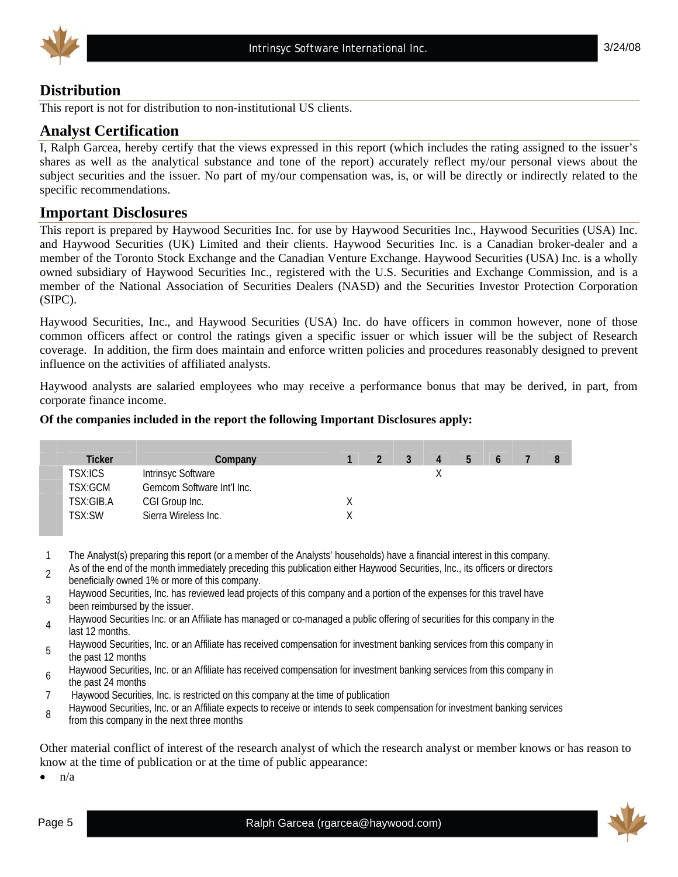

#### **Distribution**

This report is not for distribution to non-institutional US clients.

#### **Analyst Certification**

I, Ralph Garcea, hereby certify that the views expressed in this report (which includes the rating assigned to the issuer's shares as well as the analytical substance and tone of the report) accurately reflect my/our personal views about the subject securities and the issuer. No part of my/our compensation was, is, or will be directly or indirectly related to the specific recommendations.

#### **Important Disclosures**

This report is prepared by Haywood Securities Inc. for use by Haywood Securities Inc., Haywood Securities (USA) Inc. and Haywood Securities (UK) Limited and their clients. Haywood Securities Inc. is a Canadian broker-dealer and a member of the Toronto Stock Exchange and the Canadian Venture Exchange. Haywood Securities (USA) Inc. is a wholly owned subsidiary of Haywood Securities Inc., registered with the U.S. Securities and Exchange Commission, and is a member of the National Association of Securities Dealers (NASD) and the Securities Investor Protection Corporation (SIPC).

Haywood Securities, Inc., and Haywood Securities (USA) Inc. do have officers in common however, none of those common officers affect or control the ratings given a specific issuer or which issuer will be the subject of Research coverage. In addition, the firm does maintain and enforce written policies and procedures reasonably designed to prevent influence on the activities of affiliated analysts.

Haywood analysts are salaried employees who may receive a performance bonus that may be derived, in part, from corporate finance income.

#### **Of the companies included in the report the following Important Disclosures apply:**

| Ticker    | Company                    |  | 3 | 4 | b |  |  |
|-----------|----------------------------|--|---|---|---|--|--|
| TSX:ICS   | Intrinsyc Software         |  |   |   |   |  |  |
| TSX:GCM   | Gemcom Software Int'l Inc. |  |   |   |   |  |  |
| TSX:GIB.A | CGI Group Inc.             |  |   |   |   |  |  |
| TSX:SW    | Sierra Wireless Inc.       |  |   |   |   |  |  |

1 The Analyst(s) preparing this report (or a member of the Analysts' households) have a financial interest in this company.

2 As of the end of the month immediately preceding this publication either Haywood Securities, Inc., its officers or directors beneficially owned 1% or more of this company.

Haywood Securities, Inc. has reviewed lead projects of this company and a portion of the expenses for this travel have been reimbursed by the issuer.

Haywood Securities Inc. or an Affiliate has managed or co-managed a public offering of securities for this company in the last 12 months.

Haywood Securities, Inc. or an Affiliate has received compensation for investment banking services from this company in the past 12 months

Haywood Securities, Inc. or an Affiliate has received compensation for investment banking services from this company in<br>
the next 24 mention

- the past 24 months
- 7 Haywood Securities, Inc. is restricted on this company at the time of publication

Baywood Securities, Inc. or an Affiliate expects to receive or intends to seek compensation for investment banking services from this company in the next three months

Other material conflict of interest of the research analyst of which the research analyst or member knows or has reason to know at the time of publication or at the time of public appearance:

 $n/a$ 

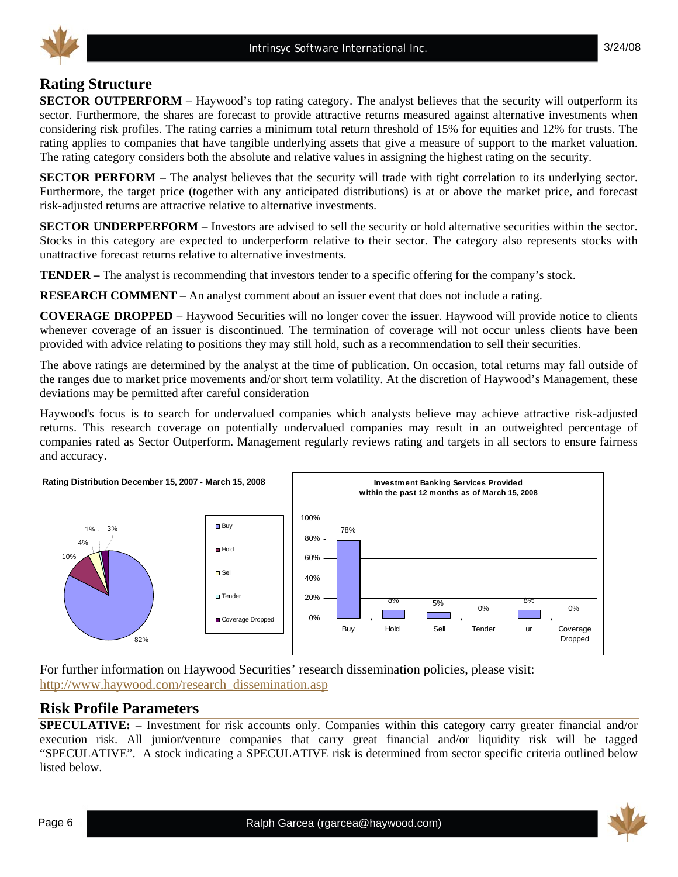

### **Rating Structure**

**SECTOR OUTPERFORM** – Haywood's top rating category. The analyst believes that the security will outperform its sector. Furthermore, the shares are forecast to provide attractive returns measured against alternative investments when considering risk profiles. The rating carries a minimum total return threshold of 15% for equities and 12% for trusts. The rating applies to companies that have tangible underlying assets that give a measure of support to the market valuation. The rating category considers both the absolute and relative values in assigning the highest rating on the security.

**SECTOR PERFORM** – The analyst believes that the security will trade with tight correlation to its underlying sector. Furthermore, the target price (together with any anticipated distributions) is at or above the market price, and forecast risk-adjusted returns are attractive relative to alternative investments.

**SECTOR UNDERPERFORM** – Investors are advised to sell the security or hold alternative securities within the sector. Stocks in this category are expected to underperform relative to their sector. The category also represents stocks with unattractive forecast returns relative to alternative investments.

**TENDER –** The analyst is recommending that investors tender to a specific offering for the company's stock.

**RESEARCH COMMENT** – An analyst comment about an issuer event that does not include a rating.

**COVERAGE DROPPED** – Haywood Securities will no longer cover the issuer. Haywood will provide notice to clients whenever coverage of an issuer is discontinued. The termination of coverage will not occur unless clients have been provided with advice relating to positions they may still hold, such as a recommendation to sell their securities.

The above ratings are determined by the analyst at the time of publication. On occasion, total returns may fall outside of the ranges due to market price movements and/or short term volatility. At the discretion of Haywood's Management, these deviations may be permitted after careful consideration

Haywood's focus is to search for undervalued companies which analysts believe may achieve attractive risk-adjusted returns. This research coverage on potentially undervalued companies may result in an outweighted percentage of companies rated as Sector Outperform. Management regularly reviews rating and targets in all sectors to ensure fairness and accuracy.



For further information on Haywood Securities' research dissemination policies, please visit: http://www.haywood.com/research\_dissemination.asp

#### **Risk Profile Parameters**

**SPECULATIVE:** – Investment for risk accounts only. Companies within this category carry greater financial and/or execution risk. All junior/venture companies that carry great financial and/or liquidity risk will be tagged "SPECULATIVE". A stock indicating a SPECULATIVE risk is determined from sector specific criteria outlined below listed below.

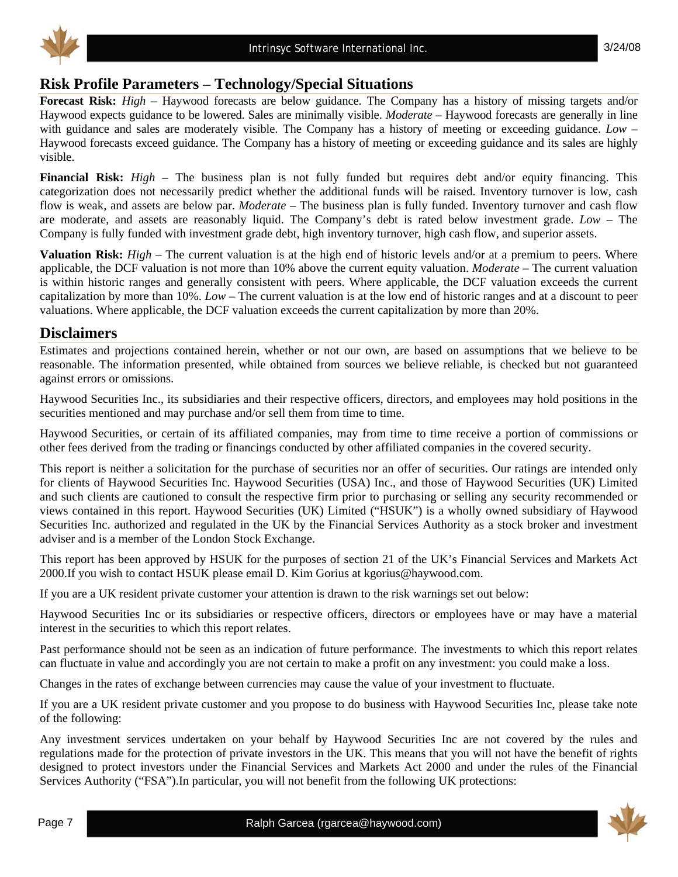

#### **Risk Profile Parameters – Technology/Special Situations**

**Forecast Risk:** *High* – Haywood forecasts are below guidance. The Company has a history of missing targets and/or Haywood expects guidance to be lowered. Sales are minimally visible. *Moderate* – Haywood forecasts are generally in line with guidance and sales are moderately visible. The Company has a history of meeting or exceeding guidance. *Low* – Haywood forecasts exceed guidance. The Company has a history of meeting or exceeding guidance and its sales are highly visible.

**Financial Risk:** *High* – The business plan is not fully funded but requires debt and/or equity financing. This categorization does not necessarily predict whether the additional funds will be raised. Inventory turnover is low, cash flow is weak, and assets are below par. *Moderate* – The business plan is fully funded. Inventory turnover and cash flow are moderate, and assets are reasonably liquid. The Company's debt is rated below investment grade. *Low* – The Company is fully funded with investment grade debt, high inventory turnover, high cash flow, and superior assets.

**Valuation Risk:** *High* – The current valuation is at the high end of historic levels and/or at a premium to peers. Where applicable, the DCF valuation is not more than 10% above the current equity valuation. *Moderate* – The current valuation is within historic ranges and generally consistent with peers. Where applicable, the DCF valuation exceeds the current capitalization by more than 10%. *Low* – The current valuation is at the low end of historic ranges and at a discount to peer valuations. Where applicable, the DCF valuation exceeds the current capitalization by more than 20%.

#### **Disclaimers**

Estimates and projections contained herein, whether or not our own, are based on assumptions that we believe to be reasonable. The information presented, while obtained from sources we believe reliable, is checked but not guaranteed against errors or omissions.

Haywood Securities Inc., its subsidiaries and their respective officers, directors, and employees may hold positions in the securities mentioned and may purchase and/or sell them from time to time.

Haywood Securities, or certain of its affiliated companies, may from time to time receive a portion of commissions or other fees derived from the trading or financings conducted by other affiliated companies in the covered security.

This report is neither a solicitation for the purchase of securities nor an offer of securities. Our ratings are intended only for clients of Haywood Securities Inc. Haywood Securities (USA) Inc., and those of Haywood Securities (UK) Limited and such clients are cautioned to consult the respective firm prior to purchasing or selling any security recommended or views contained in this report. Haywood Securities (UK) Limited ("HSUK") is a wholly owned subsidiary of Haywood Securities Inc. authorized and regulated in the UK by the Financial Services Authority as a stock broker and investment adviser and is a member of the London Stock Exchange.

This report has been approved by HSUK for the purposes of section 21 of the UK's Financial Services and Markets Act 2000.If you wish to contact HSUK please email D. Kim Gorius at kgorius@haywood.com.

If you are a UK resident private customer your attention is drawn to the risk warnings set out below:

Haywood Securities Inc or its subsidiaries or respective officers, directors or employees have or may have a material interest in the securities to which this report relates.

Past performance should not be seen as an indication of future performance. The investments to which this report relates can fluctuate in value and accordingly you are not certain to make a profit on any investment: you could make a loss.

Changes in the rates of exchange between currencies may cause the value of your investment to fluctuate.

If you are a UK resident private customer and you propose to do business with Haywood Securities Inc, please take note of the following:

Any investment services undertaken on your behalf by Haywood Securities Inc are not covered by the rules and regulations made for the protection of private investors in the UK. This means that you will not have the benefit of rights designed to protect investors under the Financial Services and Markets Act 2000 and under the rules of the Financial Services Authority ("FSA").In particular, you will not benefit from the following UK protections: